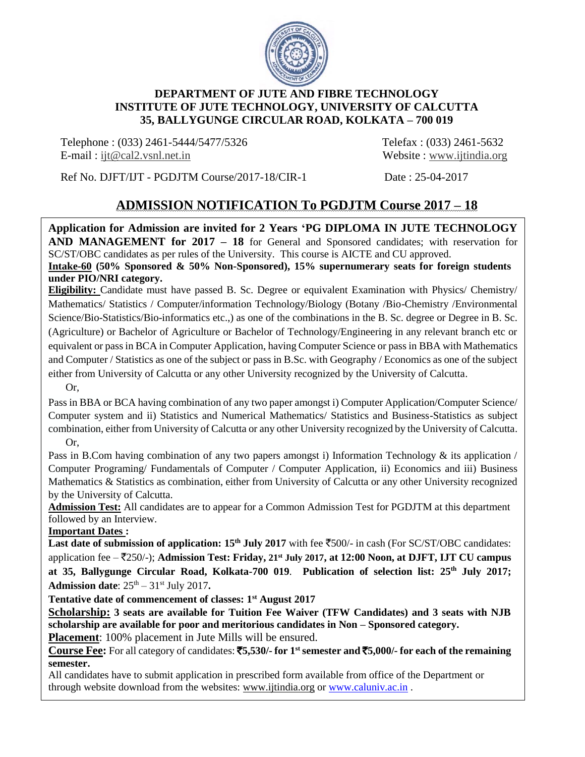

# **DEPARTMENT OF JUTE AND FIBRE TECHNOLOGY INSTITUTE OF JUTE TECHNOLOGY, UNIVERSITY OF CALCUTTA 35, BALLYGUNGE CIRCULAR ROAD, KOLKATA – 700 019**

Telephone : (033) 2461-5444/5477/5326 Telefax : (033) 2461-5632 E-mail : [ijt@cal2.vsnl.net.in](mailto:ijt@cal2.vsnl.net.in) Website : [www.ijtindia.org](http://www.ijtindia.org/)

Ref No. DJFT/IJT - PGDJTM Course/2017-18/CIR-1 Date : 25-04-2017

# **ADMISSION NOTIFICATION To PGDJTM Course 2017 – 18**

**Application for Admission are invited for 2 Years 'PG DIPLOMA IN JUTE TECHNOLOGY AND MANAGEMENT for 2017 – 18** for General and Sponsored candidates; with reservation for SC/ST/OBC candidates as per rules of the University. This course is AICTE and CU approved.

**Intake-60 (50% Sponsored & 50% Non-Sponsored), 15% supernumerary seats for foreign students under PIO/NRI category.** 

**Eligibility:** Candidate must have passed B. Sc. Degree or equivalent Examination with Physics/ Chemistry/ Mathematics/ Statistics / Computer/information Technology/Biology (Botany /Bio-Chemistry /Environmental Science/Bio-Statistics/Bio-informatics etc.,) as one of the combinations in the B. Sc. degree or Degree in B. Sc. (Agriculture) or Bachelor of Agriculture or Bachelor of Technology/Engineering in any relevant branch etc or equivalent or pass in BCA in Computer Application, having Computer Science or pass in BBA with Mathematics and Computer / Statistics as one of the subject or pass in B.Sc. with Geography / Economics as one of the subject either from University of Calcutta or any other University recognized by the University of Calcutta.

Or,

Pass in BBA or BCA having combination of any two paper amongst i) Computer Application/Computer Science/ Computer system and ii) Statistics and Numerical Mathematics/ Statistics and Business-Statistics as subject combination, either from University of Calcutta or any other University recognized by the University of Calcutta. Or,

Pass in B.Com having combination of any two papers amongst i) Information Technology & its application / Computer Programing/ Fundamentals of Computer / Computer Application, ii) Economics and iii) Business Mathematics & Statistics as combination, either from University of Calcutta or any other University recognized by the University of Calcutta.

**Admission Test:** All candidates are to appear for a Common Admission Test for PGDJTM at this department followed by an Interview.

**Important Dates :** 

**Last date of submission of application:**  $15<sup>th</sup>$  **<b>July 2017** with fee  $\overline{5}500/-$  in cash (For SC/ST/OBC candidates: application fee – `250/-); **Admission Test: Friday, 21st July 2017, at 12:00 Noon, at DJFT, IJT CU campus at 35, Ballygunge Circular Road, Kolkata-700 019**. **Publication of selection list: 25th July 2017;** Admission date:  $25<sup>th</sup> - 31<sup>st</sup>$  July 2017.

**Tentative date of commencement of classes: 1st August 2017**

**Scholarship: 3 seats are available for Tuition Fee Waiver (TFW Candidates) and 3 seats with NJB scholarship are available for poor and meritorious candidates in Non – Sponsored category.**

**Placement**: 100% placement in Jute Mills will be ensured.

**Course Fee:** For all category of candidates: `**5,530/- for 1stsemester and** `**5,000/- for each of the remaining semester.**

All candidates have to submit application in prescribed form available from office of the Department or through website download from the websites: www.ijtindia.org or [www.caluniv.ac.in](http://www.caluniv.ac.in/).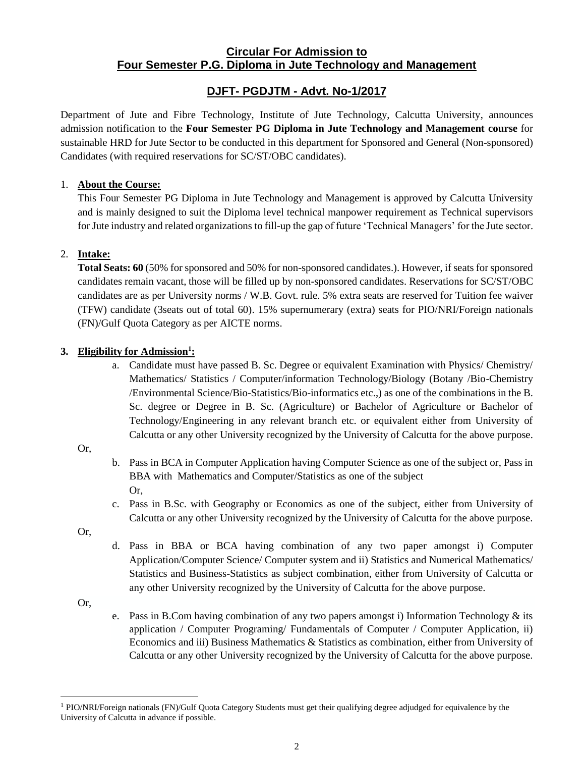# **Circular For Admission to Four Semester P.G. Diploma in Jute Technology and Management**

# **DJFT- PGDJTM - Advt. No-1/2017**

Department of Jute and Fibre Technology, Institute of Jute Technology, Calcutta University, announces admission notification to the **Four Semester PG Diploma in Jute Technology and Management course** for sustainable HRD for Jute Sector to be conducted in this department for Sponsored and General (Non-sponsored) Candidates (with required reservations for SC/ST/OBC candidates).

### 1. **About the Course:**

This Four Semester PG Diploma in Jute Technology and Management is approved by Calcutta University and is mainly designed to suit the Diploma level technical manpower requirement as Technical supervisors for Jute industry and related organizations to fill-up the gap of future 'Technical Managers' for the Jute sector.

### 2. **Intake:**

**Total Seats: 60** (50% for sponsored and 50% for non-sponsored candidates.). However, if seats for sponsored candidates remain vacant, those will be filled up by non-sponsored candidates. Reservations for SC/ST/OBC candidates are as per University norms / W.B. Govt. rule. 5% extra seats are reserved for Tuition fee waiver (TFW) candidate (3seats out of total 60). 15% supernumerary (extra) seats for PIO/NRI/Foreign nationals (FN)/Gulf Quota Category as per AICTE norms.

### **3. Eligibility for Admission<sup>1</sup> :**

a. Candidate must have passed B. Sc. Degree or equivalent Examination with Physics/ Chemistry/ Mathematics/ Statistics / Computer/information Technology/Biology (Botany /Bio-Chemistry /Environmental Science/Bio-Statistics/Bio-informatics etc.,) as one of the combinations in the B. Sc. degree or Degree in B. Sc. (Agriculture) or Bachelor of Agriculture or Bachelor of Technology/Engineering in any relevant branch etc. or equivalent either from University of Calcutta or any other University recognized by the University of Calcutta for the above purpose.

### Or,

- b. Pass in BCA in Computer Application having Computer Science as one of the subject or, Pass in BBA with Mathematics and Computer/Statistics as one of the subject Or,
- c. Pass in B.Sc. with Geography or Economics as one of the subject, either from University of Calcutta or any other University recognized by the University of Calcutta for the above purpose.

Or,

d. Pass in BBA or BCA having combination of any two paper amongst i) Computer Application/Computer Science/ Computer system and ii) Statistics and Numerical Mathematics/ Statistics and Business-Statistics as subject combination, either from University of Calcutta or any other University recognized by the University of Calcutta for the above purpose.

Or,

<u>.</u>

e. Pass in B.Com having combination of any two papers amongst i) Information Technology  $\&$  its application / Computer Programing/ Fundamentals of Computer / Computer Application, ii) Economics and iii) Business Mathematics & Statistics as combination, either from University of Calcutta or any other University recognized by the University of Calcutta for the above purpose.

<sup>&</sup>lt;sup>1</sup> PIO/NRI/Foreign nationals (FN)/Gulf Quota Category Students must get their qualifying degree adjudged for equivalence by the University of Calcutta in advance if possible.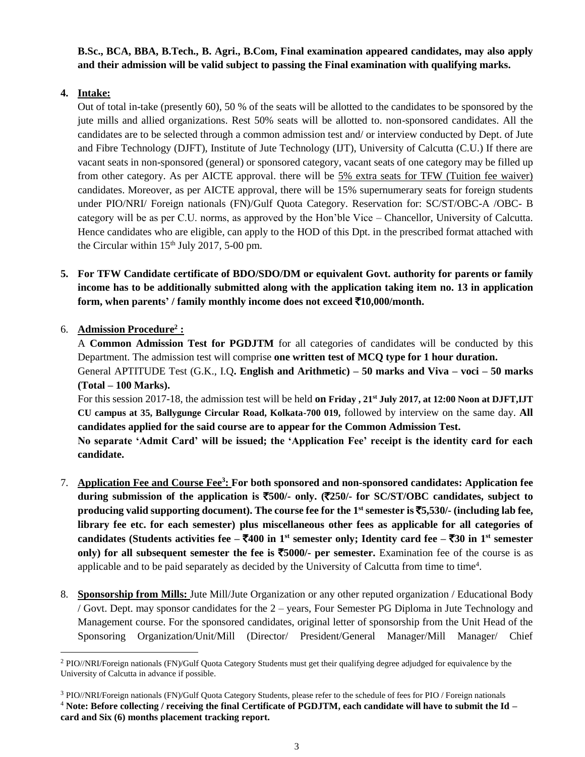**B.Sc., BCA, BBA, B.Tech., B. Agri., B.Com, Final examination appeared candidates, may also apply and their admission will be valid subject to passing the Final examination with qualifying marks.** 

# **4. Intake:**

Out of total in-take (presently 60), 50 % of the seats will be allotted to the candidates to be sponsored by the jute mills and allied organizations. Rest 50% seats will be allotted to. non-sponsored candidates. All the candidates are to be selected through a common admission test and/ or interview conducted by Dept. of Jute and Fibre Technology (DJFT), Institute of Jute Technology (IJT), University of Calcutta (C.U.) If there are vacant seats in non-sponsored (general) or sponsored category, vacant seats of one category may be filled up from other category. As per AICTE approval. there will be 5% extra seats for TFW (Tuition fee waiver) candidates. Moreover, as per AICTE approval, there will be 15% supernumerary seats for foreign students under PIO/NRI/ Foreign nationals (FN)/Gulf Quota Category. Reservation for: SC/ST/OBC-A /OBC- B category will be as per C.U. norms, as approved by the Hon'ble Vice – Chancellor, University of Calcutta. Hence candidates who are eligible, can apply to the HOD of this Dpt. in the prescribed format attached with the Circular within  $15<sup>th</sup>$  July 2017, 5-00 pm.

**5. For TFW Candidate certificate of BDO/SDO/DM or equivalent Govt. authority for parents or family income has to be additionally submitted along with the application taking item no. 13 in application form, when parents' / family monthly income does not exceed** `**10,000/month.**

# 6. **Admission Procedure<sup>2</sup> :**

1

A **Common Admission Test for PGDJTM** for all categories of candidates will be conducted by this Department. The admission test will comprise **one written test of MCQ type for 1 hour duration.**  General APTITUDE Test (G.K., I.Q**. English and Arithmetic) – 50 marks and Viva – voci – 50 marks (Total – 100 Marks).**

For this session 2017-18, the admission test will be held **on Friday , 21st July 2017, at 12:00 Noon at DJFT,IJT CU campus at 35, Ballygunge Circular Road, Kolkata-700 019,** followed by interview on the same day. **All candidates applied for the said course are to appear for the Common Admission Test.**

**No separate 'Admit Card' will be issued; the 'Application Fee' receipt is the identity card for each candidate.**

- 7. **Application Fee and Course Fee<sup>3</sup> : For both sponsored and non-sponsored candidates: Application fee during submission of the application is** `**500/- only. (**`**250/- for SC/ST/OBC candidates, subject to producing valid supporting document). The course fee for the 1st semester is** `**5,530/- (including lab fee, library fee etc. for each semester) plus miscellaneous other fees as applicable for all categories of candidates** (Students activities fee  $-\overline{5}400$  in 1<sup>st</sup> semester only; Identity card fee  $-\overline{5}30$  in 1<sup>st</sup> semester **only) for all subsequent semester the fee is** `**5000/- per semester.** Examination fee of the course is as applicable and to be paid separately as decided by the University of Calcutta from time to time<sup>4</sup>.
- 8. **Sponsorship from Mills:** Jute Mill/Jute Organization or any other reputed organization / Educational Body / Govt. Dept. may sponsor candidates for the 2 – years, Four Semester PG Diploma in Jute Technology and Management course. For the sponsored candidates, original letter of sponsorship from the Unit Head of the Sponsoring Organization/Unit/Mill (Director/ President/General Manager/Mill Manager/ Chief

<sup>&</sup>lt;sup>2</sup> PIO//NRI/Foreign nationals (FN)/Gulf Quota Category Students must get their qualifying degree adjudged for equivalence by the University of Calcutta in advance if possible.

<sup>3</sup> PIO//NRI/Foreign nationals (FN)/Gulf Quota Category Students, please refer to the schedule of fees for PIO / Foreign nationals <sup>4</sup> **Note: Before collecting / receiving the final Certificate of PGDJTM, each candidate will have to submit the Id – card and Six (6) months placement tracking report.**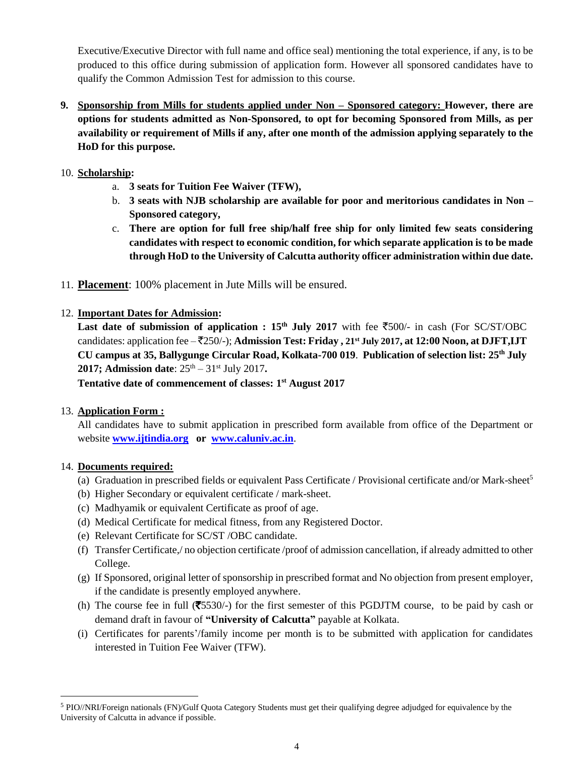Executive/Executive Director with full name and office seal) mentioning the total experience, if any, is to be produced to this office during submission of application form. However all sponsored candidates have to qualify the Common Admission Test for admission to this course.

- **9. Sponsorship from Mills for students applied under Non – Sponsored category: However, there are options for students admitted as Non-Sponsored, to opt for becoming Sponsored from Mills, as per availability or requirement of Mills if any, after one month of the admission applying separately to the HoD for this purpose.**
- 10. **Scholarship:**
	- a. **3 seats for Tuition Fee Waiver (TFW),**
	- b. **3 seats with NJB scholarship are available for poor and meritorious candidates in Non – Sponsored category,**
	- c. **There are option for full free ship/half free ship for only limited few seats considering candidates with respect to economic condition, for which separate application is to be made through HoD to the University of Calcutta authority officer administration within due date.**
- 11. **Placement**: 100% placement in Jute Mills will be ensured.

#### 12. **Important Dates for Admission:**

**Last date of submission of application :**  $15<sup>th</sup>$  **<b>July 2017** with fee  $\overline{5500/1}$  in cash (For SC/ST/OBC) candidates: application fee – `250/-); **Admission Test: Friday , 21st July 2017, at 12:00 Noon, at DJFT,IJT CU campus at 35, Ballygunge Circular Road, Kolkata-700 019**. **Publication of selection list: 25th July 2017; Admission date**:  $25<sup>th</sup> - 31<sup>st</sup>$  July 2017.

**Tentative date of commencement of classes: 1 st August 2017**

#### 13. **Application Form :**

All candidates have to submit application in prescribed form available from office of the Department or website **[www.ijtindia.org](http://www.ijtindia.org/) or [www.caluniv.ac.in](http://www.caluniv.ac.in/)**.

#### 14. **Documents required:**

<u>.</u>

- (a) Graduation in prescribed fields or equivalent Pass Certificate / Provisional certificate and/or Mark-sheet<sup>5</sup>
- (b) Higher Secondary or equivalent certificate / mark-sheet.
- (c) Madhyamik or equivalent Certificate as proof of age.
- (d) Medical Certificate for medical fitness, from any Registered Doctor.
- (e) Relevant Certificate for SC/ST /OBC candidate.
- (f) Transfer Certificate,/ no objection certificate /proof of admission cancellation, if already admitted to other College.
- (g) If Sponsored, original letter of sponsorship in prescribed format and No objection from present employer, if the candidate is presently employed anywhere.
- (h) The course fee in full  $(\overline{$}5530/-)$  for the first semester of this PGDJTM course, to be paid by cash or demand draft in favour of **"University of Calcutta"** payable at Kolkata.
- (i) Certificates for parents'/family income per month is to be submitted with application for candidates interested in Tuition Fee Waiver (TFW).

<sup>5</sup> PIO//NRI/Foreign nationals (FN)/Gulf Quota Category Students must get their qualifying degree adjudged for equivalence by the University of Calcutta in advance if possible.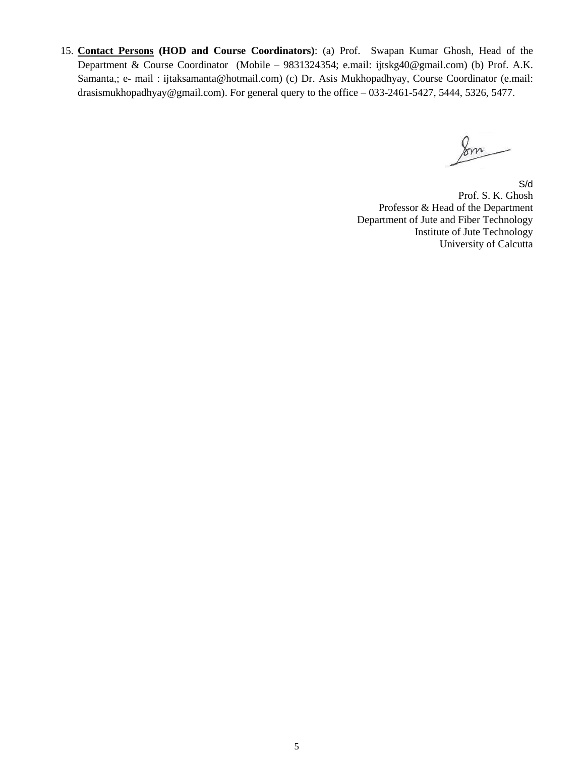15. **Contact Persons (HOD and Course Coordinators)**: (a) Prof. Swapan Kumar Ghosh, Head of the Department & Course Coordinator (Mobile – 9831324354; e.mail: ijtskg40@gmail.com) (b) Prof. A.K. Samanta,; e- mail : ijtaksamanta@hotmail.com) (c) Dr. Asis Mukhopadhyay, Course Coordinator (e.mail: drasismukhopadhyay@gmail.com). For general query to the office – 033-2461-5427, 5444, 5326, 5477.

Jom

S/d Prof. S. K. Ghosh Professor & Head of the Department Department of Jute and Fiber Technology Institute of Jute Technology University of Calcutta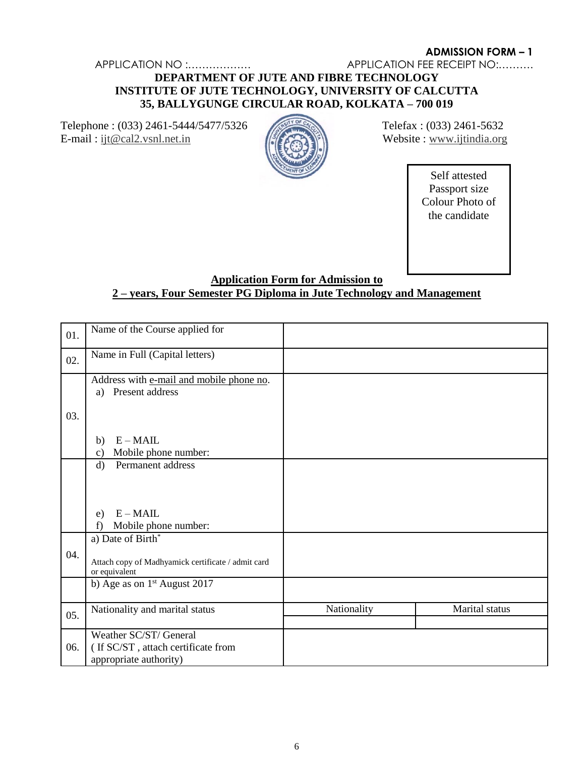APPLICATION NO :……………… APPLICATION FEE RECEIPT NO:……….

# **DEPARTMENT OF JUTE AND FIBRE TECHNOLOGY INSTITUTE OF JUTE TECHNOLOGY, UNIVERSITY OF CALCUTTA 35, BALLYGUNGE CIRCULAR ROAD, KOLKATA – 700 019**

Telephone : (033) 2461-5444/5477/5326 Telefax : (033) 2461-5632 E-mail : [ijt@cal2.vsnl.net.in](mailto:ijt@cal2.vsnl.net.in) Website : [www.ijtindia.org](http://www.ijtindia.org/)



Self attested Passport size Colour Photo of the candidate

# **Application Form for Admission to 2 – years, Four Semester PG Diploma in Jute Technology and Management**

| 01. | Name of the Course applied for                                      |             |                |
|-----|---------------------------------------------------------------------|-------------|----------------|
| 02. | Name in Full (Capital letters)                                      |             |                |
|     | Address with e-mail and mobile phone no.<br>Present address<br>a)   |             |                |
| 03. |                                                                     |             |                |
|     | $E - MAIL$<br>b)<br>Mobile phone number:<br>$\mathbf{c})$           |             |                |
|     | Permanent address<br>$\mathbf{d}$                                   |             |                |
|     |                                                                     |             |                |
|     | $E - MAIL$<br>e)<br>Mobile phone number:<br>f                       |             |                |
|     | a) Date of Birth*                                                   |             |                |
| 04. | Attach copy of Madhyamick certificate / admit card<br>or equivalent |             |                |
|     | b) Age as on $1st$ August 2017                                      |             |                |
| 05. | Nationality and marital status                                      | Nationality | Marital status |
|     | Weather SC/ST/ General                                              |             |                |
| 06. | (If SC/ST, attach certificate from<br>appropriate authority)        |             |                |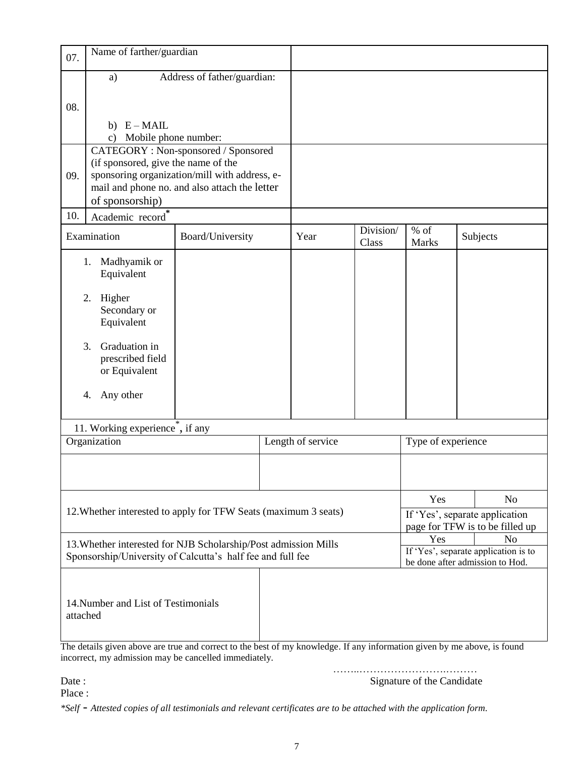| 07.                                                                                                                           | Name of farther/guardian                                                                                                                                                          |                  |  |                   |                                                                   |                        |     |                                      |
|-------------------------------------------------------------------------------------------------------------------------------|-----------------------------------------------------------------------------------------------------------------------------------------------------------------------------------|------------------|--|-------------------|-------------------------------------------------------------------|------------------------|-----|--------------------------------------|
|                                                                                                                               | Address of father/guardian:<br>a)                                                                                                                                                 |                  |  |                   |                                                                   |                        |     |                                      |
| 08.                                                                                                                           |                                                                                                                                                                                   |                  |  |                   |                                                                   |                        |     |                                      |
|                                                                                                                               | $E - MAIL$<br>b)                                                                                                                                                                  |                  |  |                   |                                                                   |                        |     |                                      |
|                                                                                                                               | Mobile phone number:<br>$\mathbf{c})$                                                                                                                                             |                  |  |                   |                                                                   |                        |     |                                      |
|                                                                                                                               | CATEGORY: Non-sponsored / Sponsored                                                                                                                                               |                  |  |                   |                                                                   |                        |     |                                      |
| 09.                                                                                                                           | (if sponsored, give the name of the<br>sponsoring organization/mill with address, e-                                                                                              |                  |  |                   |                                                                   |                        |     |                                      |
|                                                                                                                               | mail and phone no. and also attach the letter                                                                                                                                     |                  |  |                   |                                                                   |                        |     |                                      |
|                                                                                                                               | of sponsorship)                                                                                                                                                                   |                  |  |                   |                                                                   |                        |     |                                      |
| 10.                                                                                                                           | Academic record*                                                                                                                                                                  |                  |  |                   |                                                                   |                        |     |                                      |
|                                                                                                                               | Examination                                                                                                                                                                       | Board/University |  | Year              | Division/<br>Class                                                | $%$ of<br><b>Marks</b> |     | Subjects                             |
|                                                                                                                               | Madhyamik or<br>1.<br>Equivalent                                                                                                                                                  |                  |  |                   |                                                                   |                        |     |                                      |
|                                                                                                                               | Higher<br>2.                                                                                                                                                                      |                  |  |                   |                                                                   |                        |     |                                      |
|                                                                                                                               | Secondary or                                                                                                                                                                      |                  |  |                   |                                                                   |                        |     |                                      |
|                                                                                                                               | Equivalent                                                                                                                                                                        |                  |  |                   |                                                                   |                        |     |                                      |
|                                                                                                                               |                                                                                                                                                                                   |                  |  |                   |                                                                   |                        |     |                                      |
|                                                                                                                               | Graduation in<br>3.                                                                                                                                                               |                  |  |                   |                                                                   |                        |     |                                      |
|                                                                                                                               | prescribed field<br>or Equivalent                                                                                                                                                 |                  |  |                   |                                                                   |                        |     |                                      |
|                                                                                                                               |                                                                                                                                                                                   |                  |  |                   |                                                                   |                        |     |                                      |
|                                                                                                                               | Any other<br>4.                                                                                                                                                                   |                  |  |                   |                                                                   |                        |     |                                      |
|                                                                                                                               |                                                                                                                                                                                   |                  |  |                   |                                                                   |                        |     |                                      |
|                                                                                                                               | 11. Working experience <sup>*</sup> , if any                                                                                                                                      |                  |  |                   |                                                                   |                        |     |                                      |
| Organization                                                                                                                  |                                                                                                                                                                                   |                  |  | Length of service |                                                                   | Type of experience     |     |                                      |
|                                                                                                                               |                                                                                                                                                                                   |                  |  |                   |                                                                   |                        |     |                                      |
|                                                                                                                               |                                                                                                                                                                                   |                  |  |                   |                                                                   |                        |     |                                      |
| 12. Whether interested to apply for TFW Seats (maximum 3 seats)                                                               |                                                                                                                                                                                   |                  |  |                   | Yes                                                               |                        | No. |                                      |
|                                                                                                                               |                                                                                                                                                                                   |                  |  |                   | If 'Yes', separate application<br>page for TFW is to be filled up |                        |     |                                      |
|                                                                                                                               |                                                                                                                                                                                   |                  |  |                   |                                                                   | Yes                    |     | N <sub>o</sub>                       |
| 13. Whether interested for NJB Scholarship/Post admission Mills<br>Sponsorship/University of Calcutta's half fee and full fee |                                                                                                                                                                                   |                  |  |                   |                                                                   |                        |     | If 'Yes', separate application is to |
|                                                                                                                               |                                                                                                                                                                                   |                  |  |                   | be done after admission to Hod.                                   |                        |     |                                      |
|                                                                                                                               |                                                                                                                                                                                   |                  |  |                   |                                                                   |                        |     |                                      |
|                                                                                                                               |                                                                                                                                                                                   |                  |  |                   |                                                                   |                        |     |                                      |
|                                                                                                                               | 14. Number and List of Testimonials                                                                                                                                               |                  |  |                   |                                                                   |                        |     |                                      |
| attached                                                                                                                      |                                                                                                                                                                                   |                  |  |                   |                                                                   |                        |     |                                      |
|                                                                                                                               |                                                                                                                                                                                   |                  |  |                   |                                                                   |                        |     |                                      |
|                                                                                                                               | The details given above are true and correct to the best of my knowledge. If any information given by me above, is found<br>incorrect, my admission may be cancelled immediately. |                  |  |                   |                                                                   |                        |     |                                      |

……………………………………… Date : Signature of the Candidate

Place :

*\*Self - Attested copies of all testimonials and relevant certificates are to be attached with the application form.*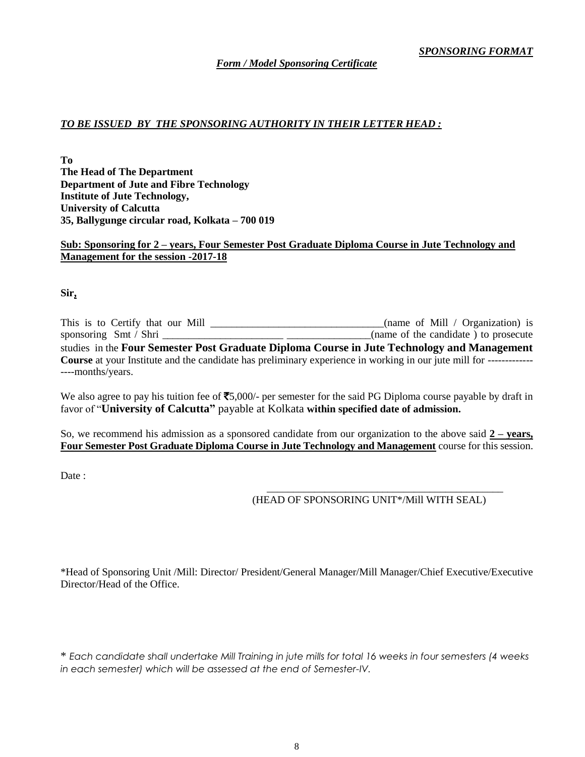#### *TO BE ISSUED BY THE SPONSORING AUTHORITY IN THEIR LETTER HEAD :*

**To The Head of The Department Department of Jute and Fibre Technology Institute of Jute Technology, University of Calcutta 35, Ballygunge circular road, Kolkata – 700 019**

#### **Sub: Sponsoring for 2 – years, Four Semester Post Graduate Diploma Course in Jute Technology and Management for the session -2017-18**

**Sir,** 

This is to Certify that our Mill \_\_\_\_\_\_\_\_\_\_\_\_\_\_\_\_\_\_\_\_\_\_\_\_\_\_\_\_\_\_\_\_\_(name of Mill / Organization) is sponsoring Smt / Shri \_\_\_\_\_\_\_\_\_\_\_\_\_\_\_\_\_\_\_\_\_\_\_\_\_\_\_\_\_\_\_(name of the candidate ) to prosecute studies in the **Four Semester Post Graduate Diploma Course in Jute Technology and Management Course** at your Institute and the candidate has preliminary experience in working in our jute mill for ------------- ----months/years.

We also agree to pay his tuition fee of  $\overline{5}5,000/$ - per semester for the said PG Diploma course payable by draft in favor of "**University of Calcutta"** payable at Kolkata **within specified date of admission.** 

So, we recommend his admission as a sponsored candidate from our organization to the above said **2 – years, Four Semester Post Graduate Diploma Course in Jute Technology and Management** course for this session.

Date :

#### (HEAD OF SPONSORING UNIT\*/Mill WITH SEAL)

\_\_\_\_\_\_\_\_\_\_\_\_\_\_\_\_\_\_\_\_\_\_\_\_\_\_\_\_\_\_\_\_\_\_\_\_\_\_\_\_\_\_\_\_\_

\*Head of Sponsoring Unit /Mill: Director/ President/General Manager/Mill Manager/Chief Executive/Executive Director/Head of the Office.

\* *Each candidate shall undertake Mill Training in jute mills for total 16 weeks in four semesters (4 weeks in each semester) which will be assessed at the end of Semester-IV.*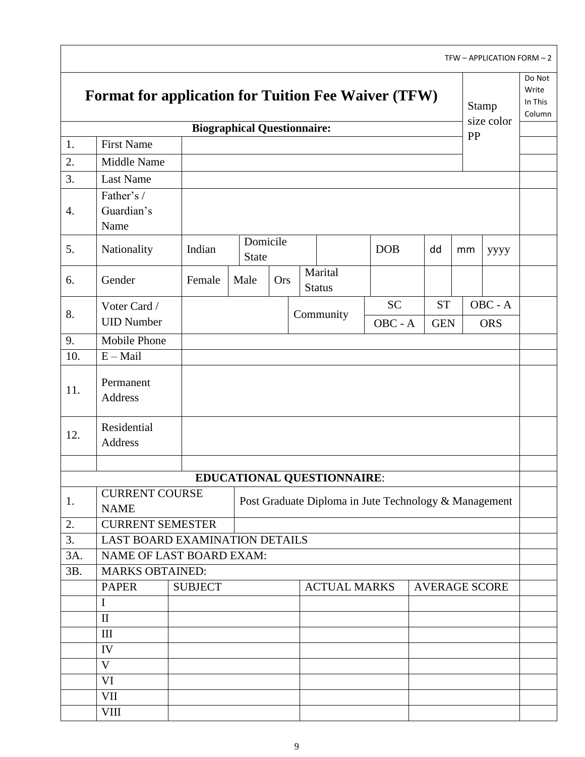|     |                                                            |                                    |              |          |  |                            |                                                       |                      |    | TFW - APPLICATION FORM - 2 |                                      |
|-----|------------------------------------------------------------|------------------------------------|--------------|----------|--|----------------------------|-------------------------------------------------------|----------------------|----|----------------------------|--------------------------------------|
|     | <b>Format for application for Tuition Fee Waiver (TFW)</b> |                                    |              |          |  |                            |                                                       |                      |    | <b>Stamp</b>               | Do Not<br>Write<br>In This<br>Column |
|     |                                                            | <b>Biographical Questionnaire:</b> |              |          |  |                            |                                                       |                      |    | size color                 |                                      |
| 1.  | <b>First Name</b>                                          |                                    |              |          |  |                            |                                                       |                      | PP |                            |                                      |
| 2.  | Middle Name                                                |                                    |              |          |  |                            |                                                       |                      |    |                            |                                      |
| 3.  | <b>Last Name</b>                                           |                                    |              |          |  |                            |                                                       |                      |    |                            |                                      |
|     | Father's /                                                 |                                    |              |          |  |                            |                                                       |                      |    |                            |                                      |
| 4.  | Guardian's                                                 |                                    |              |          |  |                            |                                                       |                      |    |                            |                                      |
|     | Name                                                       |                                    |              | Domicile |  |                            |                                                       |                      |    |                            |                                      |
| 5.  | Nationality                                                | Indian                             | <b>State</b> |          |  |                            | <b>DOB</b>                                            | dd                   | mm | уууу                       |                                      |
| 6.  | Gender                                                     | Female                             | Male         | Ors      |  | Marital                    |                                                       |                      |    |                            |                                      |
|     |                                                            |                                    |              |          |  | <b>Status</b>              |                                                       |                      |    |                            |                                      |
| 8.  | Voter Card /                                               |                                    |              |          |  | Community                  | <b>SC</b>                                             | <b>ST</b>            |    | OBC - A                    |                                      |
|     | <b>UID Number</b>                                          |                                    |              |          |  |                            | OBC - A                                               | <b>GEN</b>           |    | <b>ORS</b>                 |                                      |
| 9.  | Mobile Phone                                               |                                    |              |          |  |                            |                                                       |                      |    |                            |                                      |
| 10. | $E - Mail$                                                 |                                    |              |          |  |                            |                                                       |                      |    |                            |                                      |
| 11. | Permanent<br>Address                                       |                                    |              |          |  |                            |                                                       |                      |    |                            |                                      |
| 12. | Residential<br>Address                                     |                                    |              |          |  |                            |                                                       |                      |    |                            |                                      |
|     |                                                            |                                    |              |          |  |                            |                                                       |                      |    |                            |                                      |
|     |                                                            |                                    |              |          |  | EDUCATIONAL QUESTIONNAIRE: |                                                       |                      |    |                            |                                      |
| 1.  | <b>CURRENT COURSE</b><br><b>NAME</b>                       |                                    |              |          |  |                            | Post Graduate Diploma in Jute Technology & Management |                      |    |                            |                                      |
| 2.  | <b>CURRENT SEMESTER</b>                                    |                                    |              |          |  |                            |                                                       |                      |    |                            |                                      |
| 3.  |                                                            | LAST BOARD EXAMINATION DETAILS     |              |          |  |                            |                                                       |                      |    |                            |                                      |
| 3A. | NAME OF LAST BOARD EXAM:                                   |                                    |              |          |  |                            |                                                       |                      |    |                            |                                      |
| 3B. | <b>MARKS OBTAINED:</b>                                     |                                    |              |          |  |                            |                                                       |                      |    |                            |                                      |
|     | <b>PAPER</b>                                               | <b>SUBJECT</b>                     |              |          |  | <b>ACTUAL MARKS</b>        |                                                       | <b>AVERAGE SCORE</b> |    |                            |                                      |
|     | $\bf{I}$                                                   |                                    |              |          |  |                            |                                                       |                      |    |                            |                                      |
|     | $\mathbf{I}$                                               |                                    |              |          |  |                            |                                                       |                      |    |                            |                                      |
|     | III                                                        |                                    |              |          |  |                            |                                                       |                      |    |                            |                                      |
|     | IV                                                         |                                    |              |          |  |                            |                                                       |                      |    |                            |                                      |
|     | $\mathbf V$                                                |                                    |              |          |  |                            |                                                       |                      |    |                            |                                      |
|     | VI                                                         |                                    |              |          |  |                            |                                                       |                      |    |                            |                                      |
|     | VII                                                        |                                    |              |          |  |                            |                                                       |                      |    |                            |                                      |
|     | <b>VIII</b>                                                |                                    |              |          |  |                            |                                                       |                      |    |                            |                                      |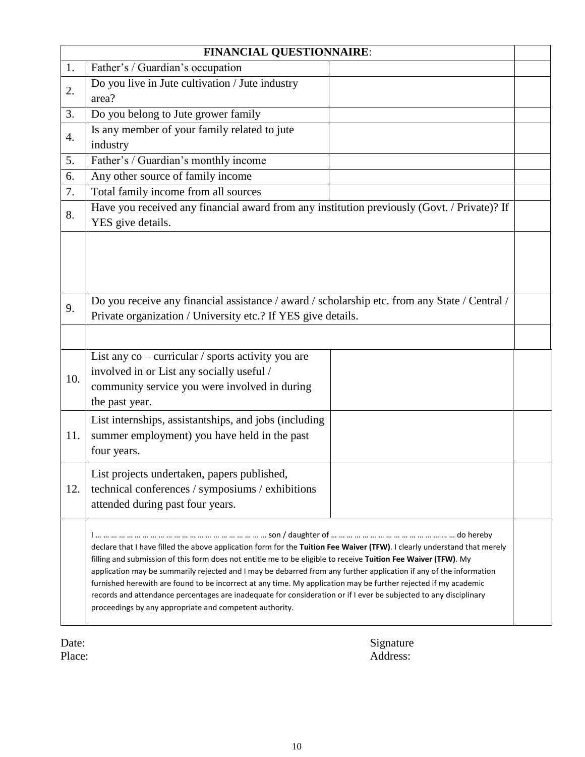|                  | <b>FINANCIAL QUESTIONNAIRE:</b>                                                                                                                                                                                                                                                                                                                                                                                                                                                                                                                                                                                                                                     |  |
|------------------|---------------------------------------------------------------------------------------------------------------------------------------------------------------------------------------------------------------------------------------------------------------------------------------------------------------------------------------------------------------------------------------------------------------------------------------------------------------------------------------------------------------------------------------------------------------------------------------------------------------------------------------------------------------------|--|
| 1.               | Father's / Guardian's occupation                                                                                                                                                                                                                                                                                                                                                                                                                                                                                                                                                                                                                                    |  |
| 2.               | Do you live in Jute cultivation / Jute industry<br>area?                                                                                                                                                                                                                                                                                                                                                                                                                                                                                                                                                                                                            |  |
| 3.               | Do you belong to Jute grower family                                                                                                                                                                                                                                                                                                                                                                                                                                                                                                                                                                                                                                 |  |
| $\overline{4}$ . | Is any member of your family related to jute<br>industry                                                                                                                                                                                                                                                                                                                                                                                                                                                                                                                                                                                                            |  |
| 5.               | Father's / Guardian's monthly income                                                                                                                                                                                                                                                                                                                                                                                                                                                                                                                                                                                                                                |  |
| 6.               | Any other source of family income                                                                                                                                                                                                                                                                                                                                                                                                                                                                                                                                                                                                                                   |  |
| 7.               | Total family income from all sources                                                                                                                                                                                                                                                                                                                                                                                                                                                                                                                                                                                                                                |  |
| 8.               | Have you received any financial award from any institution previously (Govt. / Private)? If<br>YES give details.                                                                                                                                                                                                                                                                                                                                                                                                                                                                                                                                                    |  |
|                  |                                                                                                                                                                                                                                                                                                                                                                                                                                                                                                                                                                                                                                                                     |  |
| 9.               | Do you receive any financial assistance / award / scholarship etc. from any State / Central /<br>Private organization / University etc.? If YES give details.                                                                                                                                                                                                                                                                                                                                                                                                                                                                                                       |  |
|                  |                                                                                                                                                                                                                                                                                                                                                                                                                                                                                                                                                                                                                                                                     |  |
| 10.              | List any co - curricular / sports activity you are<br>involved in or List any socially useful /<br>community service you were involved in during<br>the past year.                                                                                                                                                                                                                                                                                                                                                                                                                                                                                                  |  |
| 11.              | List internships, assistantships, and jobs (including<br>summer employment) you have held in the past<br>four years.                                                                                                                                                                                                                                                                                                                                                                                                                                                                                                                                                |  |
| 12.              | List projects undertaken, papers published,<br>technical conferences / symposiums / exhibitions<br>attended during past four years.                                                                                                                                                                                                                                                                                                                                                                                                                                                                                                                                 |  |
|                  | declare that I have filled the above application form for the Tuition Fee Waiver (TFW). I clearly understand that merely<br>filling and submission of this form does not entitle me to be eligible to receive Tuition Fee Waiver (TFW). My<br>application may be summarily rejected and I may be debarred from any further application if any of the information<br>furnished herewith are found to be incorrect at any time. My application may be further rejected if my academic<br>records and attendance percentages are inadequate for consideration or if I ever be subjected to any disciplinary<br>proceedings by any appropriate and competent authority. |  |

Date: Signature Place: Address: Address: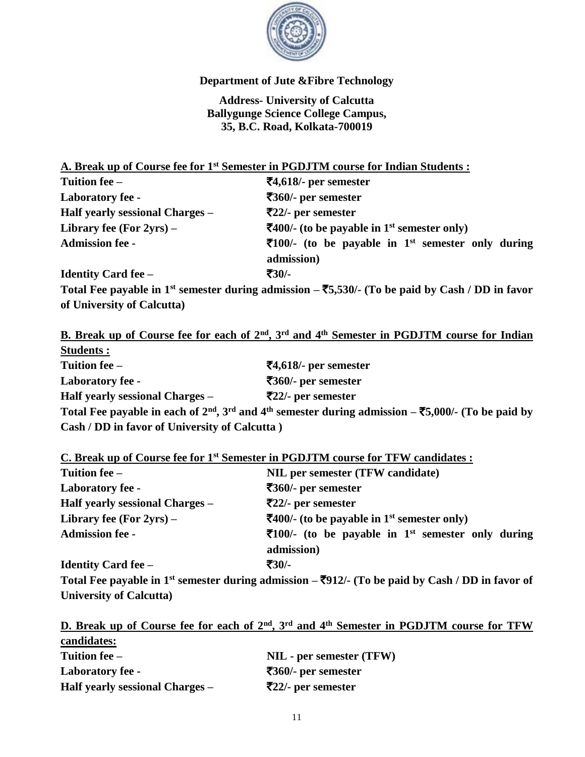

# **Department of Jute &Fibre Technology**

**Address- University of Calcutta Ballygunge Science College Campus, 35, B.C. Road, Kolkata-700019**

**A. Break up of Course fee for 1st Semester in PGDJTM course for Indian Students :**

| Tuition fee –                   | $\overline{5}4,618$ - per semester                                                        |
|---------------------------------|-------------------------------------------------------------------------------------------|
| <b>Laboratory fee -</b>         | $\overline{\mathbf{5}}360$ /- per semester                                                |
| Half yearly sessional Charges – | $\overline{5}22$ /- per semester                                                          |
| Library fee (For $2yrs$ ) –     | $\overline{\mathbf{4}}$ 400/- (to be payable in 1 <sup>st</sup> semester only)            |
| <b>Admission fee -</b>          | $\overline{5}100/$ - (to be payable in 1 <sup>st</sup> semester only during<br>admission) |
| <b>Identity Card fee –</b>      | $\overline{30}/$                                                                          |

**Total Fee payable in 1st semester during admission –** `**5,530/- (To be paid by Cash / DD in favor of University of Calcutta)** 

**B. Break up of Course fee for each of 2nd, 3rd and 4th Semester in PGDJTM course for Indian** 

| <b>Students:</b>                              |                                                                                                                                 |
|-----------------------------------------------|---------------------------------------------------------------------------------------------------------------------------------|
| Tuition fee –                                 | $\overline{5}4,618$ - per semester                                                                                              |
| Laboratory fee -                              | $\overline{\mathbf{5}}360$ /- per semester                                                                                      |
| Half yearly sessional Charges –               | $\overline{522}/$ - per semester                                                                                                |
|                                               | Total Fee payable in each of $2nd$ , $3rd$ and 4 <sup>th</sup> semester during admission – $\overline{5,000/}$ . (To be paid by |
| Cash / DD in favor of University of Calcutta) |                                                                                                                                 |

**C. Break up of Course fee for 1st Semester in PGDJTM course for TFW candidates :**

| Tuition fee –                   | NIL per semester (TFW candidate)                                               |
|---------------------------------|--------------------------------------------------------------------------------|
| <b>Laboratory fee -</b>         | $\overline{360}$ - per semester                                                |
| Half yearly sessional Charges - | $\overline{522}/$ - per semester                                               |
| Library fee (For $2yrs$ ) –     | $\overline{\mathbf{4}}$ 400/- (to be payable in 1 <sup>st</sup> semester only) |
| <b>Admission fee -</b>          | $\overline{5}100$ /- (to be payable in 1 <sup>st</sup> semester only during    |
|                                 | admission)                                                                     |
| <b>Identity Card fee –</b>      | $\overline{30}/$                                                               |

**Total Fee payable in 1st semester during admission –** `**912/- (To be paid by Cash / DD in favor of University of Calcutta)**

**D. Break up of Course fee for each of 2nd, 3rd and 4th Semester in PGDJTM course for TFW candidates: Tuition fee – NIL - per semester (TFW) Laboratory fee -** `**360/- per semester Half yearly sessional Charges –** `**22/- per semester**